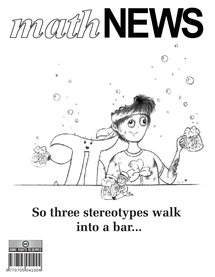

# **So three stereotypes walk into a bar...**

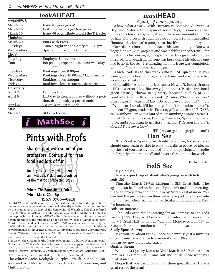*math***NEWS**

#### *look***AHEAD**

| MULMNEWS        |                                               |
|-----------------|-----------------------------------------------|
| March 16        | Issue $#5$ goes green!                        |
| March 26        | Last time writers get free pizza              |
| March 30        | Issue #6 pays tribute to Loki the Trickster   |
| <b>MathSoc</b>  |                                               |
| March 20        | Pints with Profs                              |
| Tuesdays        | Games Night in the Comfy at 6:30 pm           |
| Wednesdays      | Special nights in the Comfy!                  |
| <b>CECS</b>     |                                               |
| Ongoing         | <b>Employer Interviews</b>                    |
| Continuous      | Job postings open; closes next weekday        |
|                 | 11:59 pm                                      |
| Tuesdays        | Rankings open 8:00pm                          |
| Wednesdays      | Rankings close 10:00am, Match results         |
| Thursdays       | Rankings open 8:00pm                          |
| Fridays         | <u>Rankings close 10:00am, Match results </u> |
| University      |                                               |
| April 2         | Lectures End                                  |
| April 6         | Last day to drop a course without a peti-     |
|                 | tion, drop penalty 2 period ends              |
| <u>April 27</u> | <u>Co-op Work Term Ends</u>                   |
| <b>Misc</b>     |                                               |
| March 17        | St Patrick's Day                              |

MathSoc j

# Pints with Profs

Share a pint with some of your professors. Come out for free food and lots of fun.

Invite your prof by giving them an invitation. Pick them up outside of the MathSoc office (MC 3038)

#### Where: The Bombshelter Pub When: March 20th, 5pm

#### **ISSN 0705—0410**

*math*NEWS is normally a fortnightly publication funded by and responsible to the undergraduate math students of the University of Waterloo, as represented by the Mathematics Society of the University of Waterloo, hereafter referred to as MathSoc. *math*NEWS is editorially independent of MathSoc. Content is the responsibility of the *math*NEWS editors; however, any opinions expressed herein are those of the authors and not necessarily those of MathSoc or *math-*NEWS. Current and back issues of *math*NEWS are available electronically via the World Wide Web at http://www.mathnews.uwaterloo.ca/. Send your correspondence to: *math*NEWS, MC3046, University of Waterloo, 200 University Ave. W., Waterloo, Ontario, Canada, N2L 3G1, or to userid mathnews@student. math.uwaterloo.ca on the Internet.

This work is licensed under the Creative Commons Attribution-Noncommercial-No Derivative Works 2.5 Canada License. To view a copy of this license, visit http://creativecommons.org/licenses/by-nc-nd/2.5/ca/ or send a letter to Creative Commons, 559 Nathan Abbott Way, Stanford, California 94305, USA. Terms may be renegotiated by contacting the editor(s).

The editors: Sacha Koohgoli, Murphy Berzish, Michelle Conway, and Will Morrison: Addition, Division, Subtraction, and Multiplication.

### *mast***HEAD**

*A party of non-sequitors.*

Whew, what a week. With Humans vs Zombies, St Patrick's Day, and Pi day all in a span of seven days, it's amazing that none of us have collapsed yet with the sheer amount of fun to be had. Our profs insist that we also complete something called "homework", but we're pretty sure that it's not mandatory.

Our editors almost didn't make it this week, though. One was bogged down with projects and was babbling incoherently for most of production night, one got mauled by a group of zombies in a gladitorial death match, one was busy doing his job, and one had to do all the rest. It's amazing that this issue was completed, with all of the randomness going on.

Which leads us to this week's *mast*HEAD question: If you were going to a basr with pi, a leprechaun, and a zombie, what would you drink?

ConcealED ("A rabbi, a priest, and a Newfie"). Ender Dragon ("Pi"), tesseract ("My life away"), snippet ("Puréed irrational green brains"), theSMURF ("Marry leprechaun, fuck pi, kill zombie"), (define this (not cool)) ("Cider. Who drinks beer? Beer is gross"), MustardMap ("Do people even read this?"), Jerf ("Whatever I drink, it'll be enough I don't remember it later."), moment ("Eggnog made with Easter eggs"), waldo@<3.LE-GASP. ca ("Rainbow Fizz with a hint of mind-numbing number series"), Soviet Canadian ("Vodka, Brandy, Amaretto, Sprite, cranberry juice, and something to get tipsy"), Zethar ("Dragon fire ale"), CowED ("a Brown Cow")

!ED ("A pan-galactic gargle blaster")

#### **Dan Sez**

 The Zombie Apocalypse should be ending today, so you should once again be able to walk the halls in peace (or pieces, for those of you already infected). I did not participate, despite the brightly coloured headband I wore throughout the week.

DanInTheHat

#### **FedS Sez** Hey Mathies,

 Here is a quick report about what's going on with feds. **Feds GM**

 Thursday March 22nd at 12:30pm in SLC Great Hall. The agenda can be found on feds.ca. If you can't make the meeting, fill out a proxy form and hand it in by March 21st at noon. You can find the proxy form on their website or pick one up outside the mathsoc office. An item of particular importance is a Feds fee increase.

#### **Feds Fee Increase**

 The Feds exec are advocating for an increase to the Feds fee by \$3.95. They will be holding an information session in the V1 Great Hall tonight at 7pm and Monday March 19<sup>th</sup> at 7:30pm. More information can be found on feds.ca

#### **Study Space Survey**

 Have you say about Study Space on campus! Just 5 minutes of your time for a chance to win an iPad2 or Playbook! Fill out the survey now on feds.ca/space

#### **Quality Forum**

What does Quality Mean to You? March 20<sup>th</sup> from 10am to 5pm in SLC Great Hall. Come out and let us know what you think it means.

 I hope that you participate in all these great things! Have a great rest of the term!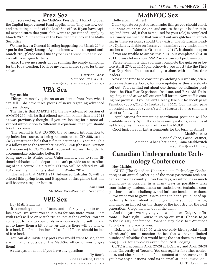#### **Prez Sez**

 So I screwed up as the MathSoc President. I forgot to open the Capital Improvement Fund applications. They are now out, and are sitting outside of the MathSoc office. If you have capital expenditures that your club wants to get funded, apply by March 26<sup>th</sup>. Put the forms in the President mailbox in the Math-Soc office.

We also have a General Meeting happening on March 27<sup>th</sup> at 4pm in the Comfy Lounge. Agenda items will be accepted until March 20<sup>th</sup>, please email me at prez@mathsoc.uwaterloo. ca with your agenda items.

 Also, I have no regrets about running the empty campaign for the FedS election. I believe my own failures spoke for themselves.

> Harrison Gross MathSoc Prez W2012 prez@mathsoc.uwaterloo.ca

#### **VPA Sez**

Hey mathies,

 Things are mostly quiet on an academic front from what I can tell. I do have three pieces of news regarding advanced courses, though:

 The first is that AMATH 251, the new advanced version of AMATH 250, will be first offered next fall, rather than fall 2013 as was previously thought. If you are looking for a more advanced introduction to differential equations, then you should take this course.

 The second is that CO 355, the advanced introduction to optimization course, is being renumbered to CO 255, as the C&O Department feels that it fits in better as a 2B course. This is a follow-up to the renumbering of CO 350 (the usual version of the course) to CO 250 that happened last year. In order to accommodate schedules better, it's

being moved to Winter term. Unfortunately, due to some illtimed sabbaticals, the department can't provide an extra offering of this course. As a result, CO 255 will be offered in Fall 2012, and then in winters starting in Winter 2014.

 The last is that MATH 247, Advanced Calculus 3, will be offered this spring term, and it appears at first glance that this will become a regular feature.

> Sean Hunt MathSoc Vice-President, Academic

### **VPE Sez**

Hey Math Students,

 It is nearing the end of term, and before you go into exam lockdown, we want you to join us for one more event. Pints with Profs will be on March 20<sup>th</sup> at 5pm at the Bomber. You can come out to talk to your profs in a non-academic setting and get to know them a bit better. As always there will be tons of free food. Did I mention lots of free food? There should be lots of free food.

 You can also invite any profs you would want to see, there are invitations outside of the MathSoc office for you to give them!

As always, email me if you have any questions.

Ty Rozak Vice President, Events vpe@mathsoc.uwaterloo.ca

### **MathFOC Sez**

Hello again, mathies!

 Quick update on post-retreat leader things: you should check out leads.uwaterloo.ca, and ensure that your leader training (and First-Aid, if that is required for your role) is completed in a timely manner, or that you sort out any glitches in enrolling in these sessions, should they exist. The Returning Leader's Quiz is available on learn.uwaterloo.ca, under a new section called "Waterloo Orientation 2012". It should be open – if you are unable to access this quiz, but completed OLT in 2011, please let us know ASAP so we can sort problems out.

 Please remember that you must complete the quiz on or before April 27<sup>th</sup>, at 11:59pm, otherwise you must take the First-Year Experience Institute training sessions with the first-time leaders.

 Now is the time to be constantly watching our website, orientation.math.uwaterloo.ca, for more updates as they are slowly roll out! You can find out about our theme, co-ordinator positions, the First-Year Experience Institute, and First-Aid Training. Stay tuned as we roll out our full forum! New stuff is coming, we promise! If you haven't already, like our facebook page: facebook.com/MathOrientation2012. Our Twitter page is located at twitter.com/mathorientation, so send us a tweet or follow us!

 Applications for remaining coordinator positions will be available in early April. If you have any questions, e-mail us at mathfoc@gmail.com, or visit us in the MOO!

Good luck on your last assignments for the term, mathies!

MathFoc 2012 Michael Shao, Sacha Forstner, Amanda What's-her-name, Anna Merklovitch mathfoc@gmail.com,

# **Canadian Undergraduate Technology Conference**

Hey Mathies!

 CUTC (The Canadian Undergraduate Technology Conference) is an annual gathering of the most passionate tech students across the country. Over two days, we introduce as much technology as possible, in as many ways as possible – talks from industry leaders, hands-on tradeshows, technical competitions, ideation challenges, and intimate breakout sessions.

 We want you to grow. We're going to hand you a lot of opportunity to learn about technology, prove your dominance, and make an impact on the shape of the industry for the next generation. Carpe the hell out of the diem.

 And this year we're giving you two choices: Calgary or Toronto. That's right. You're in co-op out west? Choose to go to the Calgary conference. Want to stay close to uWaterloo? Toronto is the place for you.

 Tickets are just \$120.00 with our early bird special (until March 30th), not to mention the fact that we have a limited number of subsidies that would bring the cost down to a whopping \$30.00 for a two-day event, food, AND lodging.

 CUTC is happening April 27-28 at UCalgary and April 28-29 at the University of Toronto. You can register for either conference, and check out some of our content at www.cutc.ca. If you have any questions, send us an email at info@cutc.ca. CUTC Commitee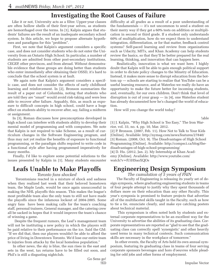#### **Investigating the Root Causes of Failure**

 Like it or not, University acts as a filter. Upper-year classes are often hollow shells of their first-year selves, as students are hemorrhaged over the terms. In [1], Kalpin argues that students' failures are the result of an inadequate secondary school system. In this article, we hope to propose alternate hypotheses and paradigms for this "problem".

 First, we note that Kalpin's argument considers a specific case, and does not consider students who do not enter the University from an Ontario High School. In particular, a number of students are admitted from other post-secondary institutions, CEGEP, other provinces, and from abroad. Without demonstrable evidence that these groups are doing better than students who enter immediately after obtaining their OSSD, it's hard to conclude that the school system is at fault.

 We again note that Kalpin's argument considers a specific case, and does not consider the effects of early childhood learning and reinforcement. In [2], Bronson summarizes the result of a paper out of Columbia, noting that students who are told they are "smart" would avoid risk-taking and were less able to recover after failure. Arguably, this, as much as exposure to difficult concepts in high school, could have a huge effect on students ability to recover after, say, failing a midterm or assignment.

 In [3], Roman discusses how preconceptions developed in high school can interfere with students ability to develop their mental model of programming and with computers. We note that Kalpin is not required to take Scheme, as a result of curriculum changes in the Software Engineering program, and thus may not yet realize the benefits of exposure to functional programming, or the paradigm shifts required to write code in a functional style after having programmed imperatively for many months.

 Finally, I'd like to explore some potential solutions to the issues presented by Kalpin in [1]. Many students encounter

### **Leafs Unable to Make Playoffs**

#### *Toronto fans shocked*

 Torontonians reacted in a mixture of shock and sadness when they realized last week that their beloved hometown team, the Maple Leafs, would be once again unsuccessful in making the NHL playoffs this season. This makes the league's most profitable team also the only team to still not have made the playoffs since the infamous lockout of 2004-2005. Some angry fans have been making calls for the team's coaching staff, personal trainers, General manager, and the catering crew all be sacked in hopes that it would improve the team's chance of winning a game.

 Despite the frequent rumors, the Leaf's management team will not be instituting a new policy in which the players will be paid relative to their performance on the ice. Said the GM: "If we did that, then our players wouldn't be able to afford the price of living in Downtown Toronto. We'd lose our entire team to injuries from attacks by the local homeless population."

 In other news, the sky is blue, the sun rises in the east and sets in the west, tax returns have to be filled out soon, and Phil's is still a disgusting nightclub.

Go Sens go! !ED

difficulty at all grades as a result of a poor understanding of the fundamentals — it's not uncommon to send a student on their merry way if they get a 60% tests on addition or multiplication in second or third grade. If a student only understands 60% of multiplication, how do we expect them to understand integration, differentiation, or for that matter, feedback control systems? Self-paced learning and review from organizations such as Udacity, MITx, and Khan Academy can help students review the basics, so that they'll be better prepared for the real learning, thinking, and innovation that can happen here.

 Realistically, innovation is what we want here. I highly doubt that Kalpin will be able to gain enough political support in order to dictate policy changes to the Minstry of Education. Instead, it makes more sense to disrupt education from the bottom up — schools are starting to realize that YouTube can be a useful learning resource, and at Waterloo we really do have an opportunity to make the future better for incoming students, and, eventually, for our own children. Don't think that level of disruption is out of your grasp — in [4], one Waterloo student has already documented how he's changed the world of education.

How will you change the world today?

!able

[1] J. Kalpin, "Why High School is Too Easy," The Iron Warrior, vol. 33, no. 4, pp. 10, Mar. 2012.

[2] P. Bronson. (2007, Feb. 11). How Not to Talk to Your Kids [Online]. Available: http://nymag.com/news/features/27840/ [3] Roman. (2008, Oct. 9). The Disadvantages of High School Programming [Online]. Available: http://compsci.ca/blog/thedisadvantages-of-high-school-programming/

[4] D. Hu. (2012, Jan. 2). My Internship at Khan Academy [Online]. Available: http://www.youtube.com/ watch?v=fUiHSaoXQOs

### **Engineering Design Symposium**

*The cumulation of 5 years of PAIN*

 The Faculty of Engineering is releasing its yearly set of design symposia, where graduating engineering students in teams of four people attempt to justify why they spent thousands of dollars more on their education than any other Faculty. This year's symposia is promised to feature projects that advertise all of the multifaceted skills taught in the Faculty, such as how to tie a tie, enunciate clearly, and make eye catching posters about technical material.

 This symposium is often noted both by students and external corporate representatives to be an excellent way for the University to advertise the abilities of its graduating class. Corporate representatives are reported as "glad to see that the graduating class can correctly spell 'synergistic' and other heavily used terms in many technical contexts. Such communication skills are necessary in the workplace of tomorrow."

 In other events, the Faculty of Arts held its own annual symposium, featuring its graduating class in teams of four serving corporate sponsors beverages and hors d'oeuvres while pleading for odd jobs and other forms of employment.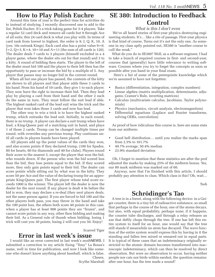#### **How to Play Polish Euchre**

 Around this time of year is the perfect time for activities do to instead of studying. I recently discovered one to add to the list, Polish Euchre. It's a trick-taking game for 3-4 players. Take a regular 52 card deck and remove all cards but 9 through Ace of all suits; this 24 card deck is what you play with. In terms of card rank from lowest to highest, the order is 9, J, Q, K, 10, A (yes, 10s outrank Kings). Each card also has a point value  $9=0$ ,  $J=2$ ,  $Q=3$ ,  $K=4$ ,  $10=10$  and  $A=11$  (the sum of all cards is 120). The dealer deals 7 cards to 3 players (himself excluded in a 4 player game, where the dealer sits out for that round) and 3 to a kitty. A round of bidding then starts. The player to the left of the dealer must bid 100 and the player to their left then has the opportunity to pass or increase the bid by a multiple of 5. Any player that passes may no longer bid in the current round.

 When all but one player has passed, the contents of the kitty are shown to all players and that player adds these 3 cards to his hand. From his hand of 10 cards, they give 1 to each player. They now have the right to increase their bid. Then they lead play by playing a card from their hand and the other 2 each do the same in turn. They must follow the suit lead if able. The highest ranked card of the lead suit wins the trick and the player that won takes those 3 cards and now has lead.

 The other way to win a trick is to have the highest ranked trump, which outranks the lead suit. Initially, in each round, there is no trump. A player can declare a suit trump when have lead, a King-Queen pair of a matching suit in hand, and plays 1 of those 2 cards. Trump can be changed multiple times per round, with overrides any previous trump. Play continues until all cards in players hands have been played.

 All players add up the point values of the cards they won, and also scores points if they declared trump, (100 for Spades, 80 for hearts, 60 for diamonds and 40 for clubs). Players round their score to the nearest 5, except the player that won the bid, who rounds down. If the person who won the bid scored less than the bid, they lose points equal to the bid. If they scored more, they only gain points equal to their bid. The dealer can score points while sitting out by what was in the kitty. They score 50 per Ace and the value of declaring trump for an appropriate King-Queen pair. The first player whose total score exceeds 1000 is the winner. The player left the dealer is now the dealer for the next round. If any player is dealt 4 9s before the bid is won, they may declare a re-deal (they next player deals, not the same person again). If you are forced to bid 100 and the other players both pass, you may throw in the hand and take the 100 point loss, the others both score 40 points in this case. when a player has at least 900 points they are "frozen", and cannot score points in any way, other then bidding and making their bid. As a General rule of thumb when bidding, losing 1 trick will cost you 30 points, losing 2 will cost you 50. Enjoy!

#### Scarred Tiger

#### **Error in last week's issue**

 I would like an error corrected in last week's *math*NEWS. I submitted a correction to my article fixing "Tony" La Rossa's name, well in time for publication, and now I look like someone who doesn't know anything about baseball, which is false. Cheers,

Scythe Marshall

### **SE 380: Introduction to Feedback Control**

#### *What is this I don't even*

 We've all heard stories of first-year physics destroying engineering students. It's… like a rite of passage. First-year physics is that kind of course. Turns out it's not the only one. As someone in my class aptly pointed out, SE380 is "another course to cull the weak."

 What do you do in SE380? Well, as a software engineer, I had to take a bunch of required courses in first- and second-year, courses that (generally) have little relevance to writing software. Courses where you try to forget the concepts as soon as possible after you hand in your final exam.

 Here's a list of some of the prerequisite knowledge which we're assumed to have not forgotten:

- • Basics (differentiation, integration, complex numbers)
- • Linear algebra (matrix multiplication, determinants, adjugates, Cramer's Rule, inverting matrices)
- • Calculus (multivariate calculus, Jacobians, Taylor polynomials)
- Physics (mechanics, circuit analysis, electromagnetism)
- • Differential equations (Laplace and Fourier transforms, solving ODEs, convolution)

 As proof of how ridiculous this course is, here are some stats from our midterm:

- Good bell distribution... until you realize the marks span from 2.5% to 101.7%
- • 49.7% average, 50.4% median
- • 23.9% standard deviation

 Oh, I forgot to mention that these statistics are after the prof adjusted the marks by making 25% of the midterm bonus. Yes, our 80 mark midterm was marked out of 60.

 Anyway, now that I'm finished with this article, I should probably pay attention to class. Which class is this? Oh, wait…

!bob

#### **Schrödinger's Tao**

 A tree is in a forest, along with the following device: in a Geiger counter, there is a tiny bit of radioactive substance, so small that perhaps in the course of the hour, one of the atoms decays, but also, with equal probability, perhaps none; if it happens, the counter tube discharges, and through a relay releases an axe that deftly chops through the tree. If one has left this entire system to itself for an hour, one would say that the tree still stands if meanwhile no atom has decayed. The wave function of the entire system would express this by having in it the standing and fallen tree mixed or smeared out in equal parts. It is typical of these cases that an indeterminacy originally restricted to the atomic domain becomes transformed into macroscopic indeterminacy, which can then be resolved by direct observation. But were no observation to occur, having neither people nor cats nor birds within earshot, the question remains: after one hour, has the tree made a sound?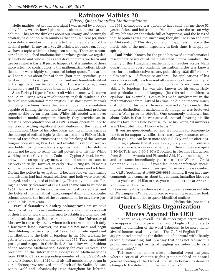### **Rainbow Mathies 20**

#### *(Likely) Queer-Identified Mathematicians*

 Hello mathies! At production night I was asked by a couple of my fellow writers how I planned to celebrate the 20th article column. This got me thinking about our strange and seemingly arbitrary fascination with numbers that end in a zero (or, more accurately, a number with a zero to the immediate left of the decimal point). In any case, yay 20 articles, let's move on. Today we have a topic which has long been coming. There are a number of distinguished mathematicians whose genius we regularly celebrate and whose ideas and developments we learn and use on a regular basis. It just so happens that a number of those more esteemed contributors to the mathematical coffers identified as (or were highly suspected of being) queer. This article will share a bit about four of them (four men, specifically: as hard as I could look, I just couldn't find any female-identified or transgendered mathematicians). If I missed anyone, please let me know and I'll include them in a future article.

 **Alan Turing**: I figured I'd start off with the most well known one. Alan Turing was a revolutionary English thinker in the field of computational mathematics. His most popular work on Turing machines gave a theoretical model for computation capable of finding the solution to any computational problem representable by an algorithm. While this model was never intended to model computers directly, they provided an interesting conceptualization of a CPU's main operation, not to mention providing significant contributions to the theory of computation. Many of his other ideas and inventions, such as the concept of ordinal logic (which earned him a PhD in Mathematical Logic from Princeton) and the breaking of the German Enigma code during WWII caused revolutions in their respective fields. Turing was clearly a genius, but unfortunately he would not be able to reach the full potential of his life. While working for the Government Code and Cypher School, he was known to be an openly gay man, which did not cause issues to his work initially. However, in early 1952 Turing would meet a suitor who would eventually break into his house and rob him. During the police investigation, it became known that Turing and this man had had sexual relations, and both were arrested, charged, and convicted of indecency. This conviction cost Turing his security clearance at GCCS and shame him to suicide in 1954. He was 41. To this day, his work is greatly celebrated and the fields of mathematical logic, computation, and computer science mourns the loss of the advancements he may have provided in his later years.

 **Pavel Aleksandrov & Andrey Kolmogorov**: Here we have the story of two Russian mathematicians who met as a result of their field of work and managed to establish a long and celebrated relationship. Both were students of the University of Moscow in the early 1920s, where both returned to teach only a few years later. However, the two did not meet and begin their lifelong partnership until 1929. Both made significant contributions to the field of topology in the 30s, working together to author a book on the topic in 1935. They each found prestige and respect in their field. Aleksandrov was president of the Moscow Mathematical Society for over 30 years, the president of the International Congress of Mathematicians from 1958 to 62, a corresponding member of the USSR Academy of Sciences from 1929 until his full membership began in 1953. Kolmogorov received one of each of the Stalin, Balzan, Lenin, Wolf, and Lobachevsky Prize throughout his lifetime.

In 1982 Kolmogorov was quoted to have said "for me these 53 years of close and indissoluble friendship were the reason why all my life was on the whole full of happiness, and the basis of that happiness was the unceasing thoughtfulness on the part of Aleksandrov." This story of lifelong happiness in face of the harsh cold of the north, especially in their time, is deeply inspiring.

**Paul Erdős:** Known for the pride bestowed to mathematical researchers based off of their esteemed "Erdős number," the infamy of this Hungarian mathematician reaches across Math departments in every academic institution. Erdős was known best for his collaborative nature, publishing 1525 different articles with 511 different co-authors. The applications of his work, as a result, reach essentially every nook and cranny of mathematical thought, from logic to calculus and from probability to topology. He was also known for his eccentricity and particular habits of language (he refereed to children as epsilons, for example). Despite his wide involvement in the mathematical community of his time, he did not receive much distinction for his work. He never received a Fields medal (the highest distinction in mathematics), though he was bestowed with a Wolf prize in 1984/84. One commonly unknown fact about Erdős is that he was asexual, instead devoting his life and his love to his field because, to use his words, "If numbers aren't beautiful, I don't know what is."

 If you are queer-identified, and are looking for someone to talk to or for supportive allies, there are always resources available to you. You can learn more about GLOW and its offerings, including a phone line at www.knowyourglow.ca. Counseling Services is always available to you; their offices are open 8:30-8MTTh and 8:30-4:30WF, located in Needles Hall across from Student Awards and Financial Aid. If you need support and assistance immediately, you can call the Waterloo Crisis Center at 519-745-1166. If you'd feel more comfortable speaking with someone from a queer specific service, please contact the GLBT Youthline at 1-800-268-9688. Finally, if you have any comments and concerns about this column, including ideas on topics you'd would like to see, you can contact me at dtaleman@uwaterloo.ca.

 Join me next issue when we discuss queer resources outside of UW campus. KW is a big place, so we will take a closer look at just what it can offer to queer-identified mathies.

#### (define this (not cool)) **Queer's Rights Organization Moves Against the OED**

 In recent news, several English queer rights organizations have opposed the change in the Oxford English Dictionary to amend its definition of the word 'fabulous' to be more inclusive of heterosexual individuals. The Oxford English Dictionary proposed amending the definition of the word with "Barely credible; astonishing, but in a way that does not require full grown men to erupt in fits of giggling and referring to each other as 'sister'."

 This movement echoes a less influential event last year, where a series of Women's Rights groups mobbed an annual general meeting of the Oxford English Dictionary to demand changes to the definition of the word 'penis.'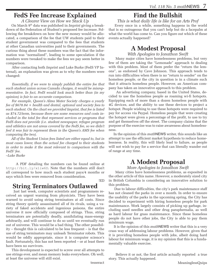### **FedS Fee Increase Explained**

*A Clearer View on How we Stack Up*

 On March 9th data was published in *Imprint* giving a breakdown of the Federation of Student's proposed fee increase. Following the breakdown on how the new money would be allocated, a comparison of the fee that UW students paid to their student government was compared to the fees that students at other Canadian universities paid to their governments. The curious thing about these numbers was the fact that the information was "normalized", leading to some speculation if the numbers were tweaked to make the fees we pay seem better in comparison.

 After contacting both *Imprint* and Luke Burke (FedS VP Internal), an explanation was given as to why the numbers were changed:

 *Essentially, if we were to simply publish the entire fee that each student union across Canada charges, it would be misrepresentative. In fact, FedS would look much better than (in my opinion) is fair to an accurate comparison.*

 *For example, Queen's Alma Mater Society charges a yearly fee of \$678.84 + health and dental, optional and society fees to each student. On the chart we provided Imprint, that fee is listed as \$74.72/term, because there are some resources and costs included in the total fee that represent services or programs that FedS does not provide (i.e. student newspaper, refugee program and athletics are not areas covered by the FedS fee, so we didn't feel it was fair to represent them in the Queen's AMS fee when comparing the two).*

 *All of the Student Union fees listed are either equal to, but in most cases lower, than the actual fee charged to their students in order to make it the most relevant to comparison with the FedS' fee.*

*–Luke Burke*

 A PDF detailing the numbers can be found online at http://bit.ly/x1iw6D. Note that the numbers still don't all correspond to how much each student pays/4 months or says which fees were removed from consideration.

!ED

# **String Terminators Outlawed**

 Just last week, computer scientists and programmers received an urgent warning from physicists. They have been warned to avoid using string terminators at all costs. Since string theory quietly assassinated all of its rivals, using a variety of faked accidents and ingenious poisons, the entire universe it now officially composed of strings. Thus, string terminators are potentially deadly, annihilating mass-energy arbitrarily, and will continue to do so until we eventually run out of universe. This would be a bad thing. The other possibility – thought this is calculated to be less frequent – is that the use of string terminators may unleash Terminator robots. This would be oddly appropriate, since it is computer science's fault. Fortunately, this has not been reported – or at least there have been no survivors.

 This development is expected to screw over all attempts to use strings ever, and mean memory leaks everywhere. Oh well, at least the universe will still exist.

*This is what daily life is like for an Arts Prof* Every once in a while, something happens in the world that is so outrageous that you can't help but do a facepalm at what the world has come to. Can you figure out which of these events actually happened?

# **A Modest Proposal**

#### *With Apologies to Jonathon Swift*

 Many major cities have homelessness problems, but very few of them are taking the "Lemonade" approach to dealing with this problem. Most of them prefer the "return the lemons", as endorsed by Cave Johnson. This approach tends to run into difficulties when there is no "return to sender" on the homeless people, or the city in question is in a climate such that it attracts homeless people. However, an American company has taken an innovative approach to this problem.

 An advertising company, based in the United States, decided to use the homeless people as roaming wi-fi hotspots. Equipping each of more than a dozen homeless people with 4G devices, and the ability to use these devices to project a hotspot. People wishing to use these hotspots were required to pay for access via Paypal. Homeless people that were creating the hotspot were given a percentage of the profit, to use to try and get themselves off the street. The company claims that the purpose of the exercise was to raise awareness about homelessness.

 In the opinion of this *math*NEWS writer, this sounds like an attempt to use the efficient market hypothesis to reduce homelessness. In reality, this will likely lead to failure, as people will not wish to pay for a service that can literally wander out of range at any time.

# **A Modest Proposal**

#### *More Apologies to Jonathon Swift*

 Many cities have homelessness problems, as exposited in the other article of this name. However, a moderately sized city in British Columbia is considering an innovative solution to this problem.

 Due to labour difficulties, the city's park maintenance staff has not cleaned the parks in over a month. In order to ensure the usability of the parks in the upcoming spring, the City has decided to experiment with hiring homeless people for park maintenance. Work largely consists of picking up garbage, including used needles and other drug paraphernalia, as well as hard labour for grass maintenance. Since these homeless people do not have other jobs, the City is able to pay them minimum wage.

 It is the opinion of this *math*NEWS writer that this is a very crass way of addressing labour problems. However, given that it is providing homeless people with jobs, albeit doing hard labour for minimum wage, it is my opinion that this is a fundamentally valuable exercise.

 Believe it or not, the first article actually reported a true story. This actually happened.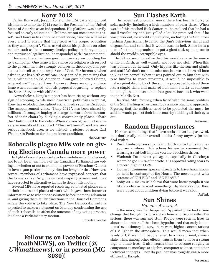#### **Kony 2012**

Earlier this week, Joseph Kony of the LRA party announced his intent to enter the 2012 race for the President of the United States of America as an independent. His platform was heavily focused on early education. "Children are our most precious asset", said Kony in his announcement video, "and we will make every effort to ensure that they receive the proper education so they can prosper". When asked about his positions on other matters such as the economy, foreign policy, trade regulations and marijuana legalization, he responded with "No comment".

 However, there has been great controversy surrounding Kony's campaign. One issue is his stance on religion with respect to the government. He strongly believes in theocracy, and proclaims himself as a spokesperson of God. Furthermore, when asked to see his birth certificate, Kony denied it, promising that he is, without a doubt, American. "You guys believed Obama, why not me?" replied Kony. However, these are only a minor issue when contrasted with his proposal regarding to replace the Secret Service with children.

 Nevertheless, Kony's support has been rising without any sign of stopping. While most American politicians skeptical, Kony has exploded throughout social media such as Facebook. The announcement video, "Kony 2012", has been shared by millions of teenagers hoping to change the world from the comfort of their chairs by clicking a conveniently placed "share this" button next to the video. When spoken of, people became very serious about the subject. "This isn't funny", said one very serious Facebook user, as he mistook a picture of actor Carl Weather in Predator for the president candidate.

theSMURF

### **Robocalls plague MPs vote on giving Elections Canada more power**

 In light of recent potential election violations (at the federal, not FedS, level) members of the Canadian Parliament are voting on whether or not to extend the powers of Elections Canada to investigate parties and any election irregularities. However, several members of Parliament have expressed concern that the Conservative Party, the current majority government, may have resorted to alternative tactics to defeat this motion.

 Several MPs have reported receiving automated phone calls at their homes and places of work which gave them incorrect information as to what the resolution before them in Parliament is, and giving them faulty directions to the House of Commons where the vote is to take place. The New Democratic Party is expected to make a statement on Monday condemning the use of such 'robocalls' to affect the outcome of any voting process, let alone a Parliamentary motion.

Impulse Vector

#### **Follow us on Facebook (mathNEWS), on Twitter (***@ UWmathnews***), or in person (MC 3030)!**

#### **Sun Flashes Earth**

 In recent astronomical news, there has been a flurry of solar activity, including a high numbers of solar flares. When word of this reached Rick Santorum, he realized that he had a small vocabulary and just yelled a lot. He promised that if he was president, he would stop anyone, including the Sun, from flashing Americans. He called the Sun's behaviour sinful and disgraceful, and said that it would burn in hell. Since he is a man of action, he promised to put a giant disk up in space to shield the world's corruptible eyes.

 He did not seem to realize that this would remove the source of life on Earth, as well warmth and food and stuff. When this was pointed out, he said "Only hippies like the sun and plants and stuff. We don't need no solar enerjee; we can burn oil here to kingdom come!" When it was pointed out to him that with zero funding to space programs, it would be impossible to make a giant disc to block the sun, he proceeded to stand there like a stupid child and make ad hominem attacks at someone he thought had a descendent four generations back who went to the Middle East.

 His rival, Mitt Romney, when faced with the same problem of the Sun flashing Americans, took a more practical approach. Figuring that the children need to be protected the most, he said he would protect their innocence by stabbing all their eyes out.

tesseract

#### **Random Happenstances**

Here are some things that I have noticed over the past week that don't really matter overall but its funny anyway (or not deal with it)

- Rush Limbaugh says that taking birth control pills implies you are a whore. This echoes his earlier comment that wearing a seat-belt implies you are a reckless driver.
- Vladamir Putin wins yet again, especially in Chechnya where he got 102% of the vote. His approval rating soars to a record high of 117%.
- House of Commons speaker threatens to have Anonymous be held in contempt of the House. The news is met with screams of "OH RLY" and "SO BRAVE."
- Kony 2012 makes us believe that were better people if we like a video or retweet something. Hipsters say that they were upset about children dying before it was cool.

DaFink

### **Sun Shines**

#### *Humans Awestruck*

 In the news, weather happened. Apparently we had a time change that brought us forward an hour and two months. I'm serious, there was sun and stuff. People were seen in trees in abnormal numbers. It has been hypothesized that early in humans' evolutionary history, there were higher concentrations of UV light in the atmosphere. This would mean that when levels of UV are high, people revert to a more primal, simian state. This, among other effects, causes them to have a strong urge to climb trees. It also causes them to become roughly as competent as monkeys at algebra, computer science, and other technical concepts. They do peel bananas roughly 244% more efficiently, though.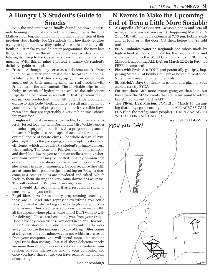### **A Hungry CS Student's Guide to Snacks**

 With the midterm season finally dwindling down, and finals looming ominously around the corner, now is the time Mathies flock together and attempt in the reprehension of their previous study habits. For CS students, this inevitably requires trying to optimize how they code. Since it is incredibly difficult to just make yourself a better programmer, the next best thing is to determine the ultimate food to eat while spending late nights trying to hack together an assignment due the next morning. With this in mind I present a hungry CS student's definitive guide to snacks:

- **Fritos** Although they serve as a delicious snack, Fritos function as a very problematic food to eat while coding. While the fact that they sticky up your keyboard is balanced out by their amazing taste, the real problem with Fritos lies in the salt content. The inevitable trips to the fridge in search of hydration, as well as the subsequent trips to the bathroom as a result of that hydration really eat up your productivity time. Although Fritos provide an excuse to sing Code Monkey, and as a result may lighten up your lonely night of programming, their irreversible flaws mean that they are regrettably a very sub-optimal choice for snack food.
- **Pringles** In most circumstances in life, Pringles are recklessly tossed together with Doritos and Miss Vickie's under the subcategory of potato chips. As a programming snack, however, Pringles deserve a special accolade for being the optimal choice of potato chips. The whole design of Pringles, right up to the packaging, screams optimization and efficiency, which above all, a CS student's primary concern while eating. The form of a Pringles can is both compact and durable, allowing you to store an endless supply wherever your computer may be located. It is my opinion that every computer case should house at least one can of Pringles, if only in case of emergency. Of course, since they still are at some level potato chips, snacking on Pringles does come at a cost. Pringles are powdered and salted, which leads to them sharing the very same downsides as Fritos. The salt content of Pringles, however, is minimal enough that I would still recommend it as a resourceful snack to consume while you code.
	- **Bagel Bites As far as luxury programming snacks go,** these are it. Bagel Bites represent everything you could possibly want while hacking away to the glow of your computer screen. They are bite-sized pizzas that serve to fulfill all the aspects where pizzas come short! Don't want to wait for delivery? These are beckoning you from your fridge! Don't have any clean dishes? You don't need any! Too busy to eat? Just devour it in one bite, and continue to work away! Of course the immense luxury of Bagel Bites comes at a large cost: If your microwave is not within arm's reach from your computer, you will spend more time cooking Bagel Bites than coding! That said, these delicious snacks are more than enough reason to put your computer in your kitchen or your microwave next to your computer, and once you have that set up, you have reached the epitome of snacking!

**N Events to Make the Upcoming End of Term a Little More Sociable**

- **• A Cappella Club's Concert:** Awesome songs and acts all using some awesome voice-work, happening March 23 & 24 at ML with the doors opening at 7:30 pm, tickets available at FedS or at the door! Get them before they're sold out!
- **FIRST Robotics Waterloo Regional:** See robots made by high school students compete for the regional title and a chance to go to the World Championships in St. Louis, Missouri, happening ALL DAY on March 22-24 in PAC, it's FREE to come see!
- **Pints with Profs:** See YOUR prof potentially get tipsy, happening March 20 at Bomber at 5 pm as hosted by MathSoc. Note to self: need to invite more profs!
- **St. Patrick's Day:** Get drunk in general at a place of your choice, strictly BYOA
- I'm sure there ARE more events going on than this, but these were the MAIN events that are in my mind to advertise at the moment…OH WAIT!
- **The FINAL HvZ Mission:** TONIGHT (March 16, assuming that things go according to plan), ALL ACROSS CAM-PUS (find the nerf gunned people!), IT IS AMAZING TO WATCH, I LIKE ALL CAPS :D

waldo@<3.LE-GASP.ca

#### MOVING DAY



maplebaconburgr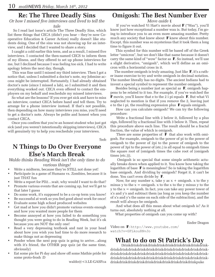#### **Re: The Three Deadly Sins**

#### *Or how I missed five interviews and lived to tell the tale*

 So I read last issue's article The Three Deadly Sins, which list three things that CECA (didn't you hear – they're now Cooperative Education & Career Action) really doesn't like students doing. One of the sins was not showing up for an interview, and I decided that I wanted to share a story.

 I caught a cold earlier this term, and as a result, I missed five interviews. I contacted the then-named CECS to inform them of my illness, and they offered to set up phone interviews for me, but I declined because I was feeling too sick. I had to write apology letters the next day, though.

 This was fine until I missed my third interview. Then I got a notice that, unless I submitted a doctor's note, my Jobmine access might be interrupted. Fortunately, I had already obtained doctor's note (since I missed a lab), so I submitted it and then everything worked out. CECA even offered to contact the employers on my behalf and reschedule my missed interviews.

 So what are the lessons? If you ever get sick and have to miss an interview, contact CECA before hand and tell them. Try to arrange for a phone interview instead. If that's not possible, then depending on how many interviews you miss, you'll need to get a doctor's note. Always be polite and honest when you contact CECA.

 Once you confirm that you're an honest student who just got sick (and you weren't intentionally skipping interviews), CECA will genuinely try to help you reschedule your interviews.

!bob

### **N Things to Do Over Everyone Else's March Break**

#### *Waldo thinks Reading Week isn't the only time to do various things!*

- Write a midterm, because they're STILL not done yet!
- Participate in a game of Humans vs. Zombies, because it is just THAT fun
- Write a report for PD2...wait, why would I want to do that?
- Promote various events that are coming up, but we'll get to that later I guess
- Do some work, it's supposed to be a co-op term you know!
- Be successful at work so you feel good about work for once!
- Evaluate some high school produced websites
- Get mad at how you didn't promote various events enough and how you wanted more people for them
- Become annoyed at how you failed to do something you thought you were going to do in Reading Week, but it's ok because you are NOT the only one!
- Read a very depressing textbook and rant in your head about how you wish you had time to do more research to make things not as depressing
- Ponder when the next pop quiz is going to arrive...along with it's friend, the OTHER pop quiz (at the same time, obviously)
- Eat some pie for Pi day and show off some Mathie pride for some proto-frosh :D

waldo@<3.LE-GASP.ca

#### **Omigosh: The Best Number Ever**

*Move aside* e

 If you've watched Vi Hart's movie about F ("Wau"), you'll know just how exceptional a number wau is. But today, I'm going to introduce you to an even more amazing number. Pretty much any society that knew about  $\mathbf F$  knew about this number. Except, this number was so mysterious that it took them a long time to figure it out.

 This symbol for this number will be based off of the Greek letter "omicron", but we don't like that name because it doesn't carry the same kind of "wow" factor as  $\mathbb F$ . So instead, we'll use a slight derivative, "omigosh", which we'll define as an omicron with a horizontal cross in it.

The number omigosh is truly amazing. Just like  $\mathbf{F}$ , it's a rather inane exercise to try and write omigosh in decimal notation. The number literally has no digits. The ancient Indians had to invent a special symbol to represent the number omigosh.

 Besides being a number just as special as F, omigosh happens to be related to it too. For example, if you've watched the **F** movie, you'll know that e to the 2 i pi equals **F**. But what Vi neglected to mention is that if you remove the 2, leaving just e to the i pi, the resulting expression plus  $\mathbf{F}$  equals omigosh.

 How can you calculate omigosh? We can try the following procedure:

 Write a fractional line with 2 below it, followed by a plus sign, followed by a fractional line with 3 below it. Then, repeat this procedure above each line. The result should be a fractal fraction, the value of which is omigosh.

There are some properties of  $\mathbf F$  that also work with omigosh. For example, omigosh to the power of pi to the power of omigosh to the power of 2pi to the power of omigosh to the power of 3pi to the power of (etc.) is all equal to omigosh times the square root of (omigosh times the cube root of (omigosh times (etc.))).

 Omigosh is so special that some simple arithmetic actually breaks down when applied to it. You know how taking the logarithm of base  $\mathbf{F}$  is meaningless? So is taking the logarithm base omigosh. And dividing by omigosh? Forget it, it can't be done. You can't even divide by F.

Now, for any number x, take y as  $x + \text{omigosh}. x$  to the y minus y to the  $x = \text{omigosh}. x$  to the x to the y minus y to the  $y$  to the  $x =$  omigosh. In fact, you can take any power tower of x's and y's and subtract them (as long as you keep the number of x's and y's the same on each side of the subtraction), and the result will always be omigosh.

 And what does all this mean about what omigosh is? As it turns out, absolutely nothing at all.

What properties of omigosh can you come up with?

Ender Dragon

Video on F: http://www.youtube.com/ watch?v=GFLkou8NvJo

### **What to do on St Patrick's Day**

 Drinkdrinkdrinkdrinkdrinkdrinkdrinkdrinkdrinkdrinkdrinkdrinkdrinkdrinkdrinkdrinkdrinkdrinkdrinkdrinkdrinkdrinkdrinkdrinkdrinkdrinkdrinkdrinkdrinkdrinkdrinkdrinkdrinkdrinkdrinkdrinkdrinkdrinkdrinkdrinkdrinkdrinkdrinkdrinkdrinkdrinkdrinkdrinkdrinkdrinkdrinkdrinkdrinkpuke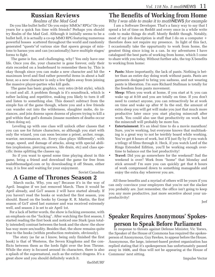## **Russian Reviews**

*Realms of the Mad God*

 Do you like bullet hells? Do you enjoy MMOs? RPGs? Do you yearn for a quick fun time with friends? Perhaps you should try Realm of the Mad God. Although it initially seems to be a bullet hell, it is actually a co-op MMO RPG featuring numerous powerful bosses scattered throughout the world and randomly generated "quests"of various size that spawn groups of minions to harass you and can (occasionally) have multiple stages/ forms to fight.

 The game is fun, and challenging, why? You only have one life. Once you die, your character is gone forever, only their stats recorded on a leaderboard to remember them by. This is okay though since you can make a new character and hit the maximum level and find rather powerful items in about a half hour, so a new character is only a few fights away from joining the massive player-parties who kill gods.

 The game has basic graphics, very retro (8-bit style), which is cool and all. A problem though is it's soundtrack, which is rather lacking and repetitive, making you likely to turn it off and listen to something else. This doesn't subtract from the simple fun of the game though, where you and a few friends can wander out into the wilderness, slaughter mobs, do instances, and join dozens upon dozens of players trying to kill a god within that god's domain (insane numbers of deaths occur when doing so).

 Leveling up with one class will unlock other classes that you can use for future characters, so although you start with only the wizard, you can soon become a priest, archer, rouge, warrior, necromancer, etc. Every class plays 'differently', with range, speed, and damage of attacks, along with special abilities (explosions, piercing arrows, life drain, etc) and class specific items splitting the classes up.

 So if you want to spend some time playing about in this game, bring a friend and download the game for free from realofthemadgod.com or by downloading it off Steam, either way, it is free and waiting for your enjoyment.

Soviet Canadian

### **A Game of Thrones Season 2**

 March sucks. Why, you say? Because it's in the way of April. Imagine if we just removed March. Then it would be April already, and GoT season 2 will have started already. If you haven't read the books or watched the first season, you should. Based on the books by George R. R. Martin, the first season of GoT aired last summer and was received extremely well, and season 2 is set to air April 1st.

 For a lack of better words, the show is fucking awesome, with an emphasis on the "fucking". After watching the first season, I started reading the first book and noticed one Stark (pun totally intended) contrast between the book and the show: the show has way more sex/nudity. Besides that, the show remains quite true to the books (within production restraints, obviously).

 The story (as far as I know, being only finished the first book) is that of Westeros, the Seven Kingdoms and the conflicts between them as the lords fight over the Iron Throne. While the story is focused around its characters, there is also a splash of the supernatural, such as the extinct dragons. It's a great show and you should definitely watch it.

# **The Benefits of Working from Home**

*Why I was able to make it to math*NEWS *for example* I am a Software Developer. That's a fancy way to say that I spend a lot of time on Reddit and every once in a while write code to make things do stuff. Mostly Reddit though. Notably, most of my job description is stuff that I do on a computer + therefore does not require my presence. In light of this fact, I occasionally take the oppurtunity to work from home, the greatest thing since icing in a can. In my adventures I have catalogued the best parts of working from home, which I come to share with you today. Without further ado, the top X benefits to working from home:

- **• Pants:** More importantly, the lack of pants. Nothing is better than an entire day doing work without pants. Pants are garments designed to bring you sadness, and not wearing pants is liberation. I'm sure Richard Stallman is totally for the freedom from pants movement.
- **• Sleep:** When you work at home, if you start at 9, you can wake up at 8:59 and you are totally on time. If you don't need to contact anyone, you can retroactively be at work on time and wake up after 9! In the end, the amount of extra sleep you will get will make you just that much more productive later once you start playing minecraft after work. You could also use that productivity on work, but the minecraft will probably be more fun.
- **Entertainment:** It's an ideal time to do a movie marathon! Sure, you're working, but everyone knows that multitasking is a great way to not be terribly board while working. You've got 8 hours of work, but it'll just fly by if you watch a trilogy of films through it. Heck, if you watch Lord of the Rings Extended Edition, you'll be working enough overtime to balance out the lost productivity!
- **• Travel:** Did you go somewhere for the weekend? Sad the weekend is over? Work from "home" that Monday and stick around! I'm sure you can quickly get that 8 hours of work compressed down to something manageable and enjoy the extra day wherever you are.

 All these benefits and a myriad of others will be yours if you can only convince your employers that you're not the slacker you probably are. Just remember, the office isn't going to keep you any more productive, just more secretive about your unproductivity!

Jerf

### **Speaker Requires Anonymous' Spokesperson to Speak Before Parliament**

 In response to threats against Defense Minister, Vic Toews, the Speaker of the House of Commons has required the spokesperson of Anonymous, Guy Fawkes, to appear before the House. Anonymous, the large, internet-based protest organization has replied stating that it's spokesperson has unfortunately passed away in 1606, and thus will not be appearing at the House of Commons' next sitting.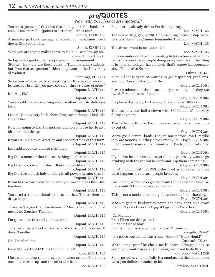# *prof***QUOTES**

*Now with 20% less course material!* You must get out of this idea that money is real… books are real… cars are real… [points to a student] HE is real! -Smith, ECON 102 A massive party, no savings, all spending… machines break down. Everybody dies. -Smith, ECON 102 What you are saying makes sense to me but I want to say no. -Jason Hinek, CS 240 So I gave my grad students a programming assignment… Student: How old are these guys?… They are grad students, but from that assignment I think they went to the University of Walmart. -Kennings, ECE 124 Since you guys actually showed up for this second makeup lecture, I've brought you guys cookies \*throws boxes of oreos\* -Dupont, MATH 119 If  $L = 1$ , FML! -Dupont, MATH 119 You should know something about e other than its delicious taste. -Dupont, MATH 119 I actually know very little about drugs even though I look like a crack head. -Dupont, MATH 119 Now I'm going to take the mother function and use her to give birth to other things. -Dupont, MATH 119 If you are in Uptown Waterloo and see something of this form. -Dupont, MATH 119 Let's add a bad-ass bracket right here. -Dupont, MATH 119 Big O is a monster that eats everything smaller than it. -Dupont, MATH 119 Big O is the cookie monster… It even looks like a mouth. -Dupont, MATH 119 Big O is like a black holy sucking in all powers greater than it. -Dupont, MATH 119 If you have a low testosterone level you wear clothes like Clinton does. -Dupont, MATH 119 You need a 4-dimensional brain to do that. That's when the drugs help. -Dupont, MATH 119 There isn't a good representation of Mexicans in math. That means no Sanchez Theorem. -Dupont, MATH 119 I'm gonna take this and go down on it. -Dupont, MATH 119 This could be a block of ice or a block or crack cocaine. It doesn't matter. -Dupont, MATH 119 Oh, I'm Abraham. -Dupont, MATH 119 fer-MAH, not Fer-MAT. It's French bitches! -Loo, MATH 135 I just want to clear something up, between me and Eddie only one of us does drugs and the other one is me. Engineering already thinks I'm dealing drugs. -Loo, MATH 135 The whole drug, gay, reddit, Chinese thing needs to stop. Now, let's talk about the Chinese Remainder Theorem. -Loo, MATH 135 You always want to use your dick! -Loo, MATH 135 So I can understand people wanting to take a break, after midterms this week, and people doing assignment 4 and handing it in late. So today, I have a topic that's somewhat appropriate… Exhaustive Search. -Lubiw, CS 341 Man, all these years of waiting to get respiratory problems, and I don't even get a cool puffer. -Doyle, ECON 304 It was students and deadbeats, and you can argue if they are two different classes of people. -Doyle, ECON 304 It's phone day today. By the way, that's a lame 1980's ring. -Doyle, ECON 304 You can only buy half a clown with \$5000, and it's not very funny anymore. -Doyle, ECON 304 This is the one thing in the course you can actually make money out of. -Doyle, ECON 304 We've got a central bank. They're not morons. Well, maybe they are morons, but they have some skills. -Doyle, ECON 304 I don't even like my actual friends and I'm trying to get rid of them. -Doyle, ECON 304 If you ever become an evil supervillan… you really want to go drinking with the central bankers and slip them something. -Doyle, ECON 304 I'm still convinced that PAS is designed as an experiment on what happens if you turn people into rats. -Doyle, ECON 304 Fortunately, we've never got the results of the research because they couldn't find their way out either. -Doyle, ECON 304 This is not a model of banking. It's a model of loansharking. -Doyle, ECON 304 When it gets to bankruptcy court, the bank can't take away that for 3 years I was the biggest bigshot in Waterloo. -Doyle, ECON 304 [On Monday] Prof: When are things due? Student: Wednesday. Prof: And you've started them already? Come on. - Ragde, CS 442 [at a goose outside the classroom window] "Honk Honk!" -Cormack, CS 241 We're using "proof by check mark" again, although I advise you if you want marks on your assignment not to do this. -Purbhoo, MATH 249 Some people say that infinity is a number, but that depends on what you define a number to be.

-Loo, MATH 135

-Purbhoo, MATH 249.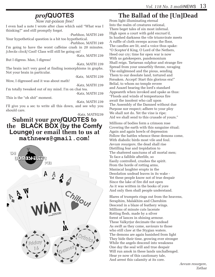# *prof***QUOTES**

*Now rat-poison free!*

I even had a note I wrote after class which said "What was I thinking?" and still promptly forgot.

-Purbhoo, MATH 249 Your hypothetical question is a bit too hypothetical.

-Purbhoo, MATH 249 I'm going to have the worst caffeine crash in 20 minutes. *[checks clock]* Cool! Class will still be going on!

-Katz, MATH 239

But I digress. Man, I digress!

-Katz, MATH 239

The brain isn't very good at finding isomorphisms in graphs. Not your brain in particular.

-Katz, MATH 239

Wow, I digressed and it was about math!

-Katz, MATH 239

I'm totally tweaked out of my mind. I'm on chai tea. -Katz, MATH 239

This is the "oh shit" moment.

-Katz, MATH 239 I'll give you a sec to write all this down, and see why you should care.

-Katz, MATH239

#### **Submit your** *prof***QUOTES to the BLACK BOX (by the Comfy Lounge) or email them to us at mathnews@gmail.com!**



# **The Ballad of the [Un]Dead**

From light illuminating eternal Into the realm of creatures rational, There beget tales of sin most infernal. High upon a court with gold encrust'd, In hushed darkness the vile triumvirate meets A ruffle of cloth sweeps across the floor, The candles are lit, and a voice thus spake: "O Scepter'd King, O Lord of the Nethers, Heed our cry; time for open war is now With us gatekeepers, pandemonium Shall reign. Tartarean sulphur and strange fire Spread from your unearthly throne, ravaging The enlightened and the pious, sending Them to our desolate land, tortured and Forsaken. Accept! Start this glorious era!" Belial, to whom no temple revere and Azazel bearing the lord's standard Appeareth when invoked and spake as thus: "Floods and winds of tempestuous fire await the insolent who call upon The Assembly of the Damned without due Purpose nor respect; adhere to your ploy We shall not do. Yet the vine is ripe; Aid we shall send to this crusade of yours."

Millions of bodies form a crimson rose Covering the earth with this sanguine ritual; Again and again howls of depression Follow the battles whence these demons come, With diabolic birds most vile and foul. *Aevum resurgere,* the dead shall rise Distilling fear and trepidation to The shattered sanctums of all mortal men; To face a fallible afterlife, so Easily controlled, crushes the spirit. From the horde of rotting arms, Maniacal laughter erupts in the Desolation undead leaves in its wake - Yet these people know not of true despair Since the lake of fire did not open As it was written in the books of yore And only then shall people understand.

Blares of trumpets rings out from the heavens, Seraphim, Malakhim and Cherubim Descend in a blaze of feathery wings. Millions of minute cuts lacerate Rotting flesh, made by a silver forest of lances in shining armour. These Valkyrjur decimate the undead As swift as they come, saviours to those who still claw at the Stygian waters. The demons are again banished from light They bide their time, growing ever stronger While the angels descend into weakness One day the seal will and true despair Will run amok in these lands unchallenged. Hear ye now of this cautionary tale, And arrest this calamity at its core.

*Aevum resurgere,* Zethar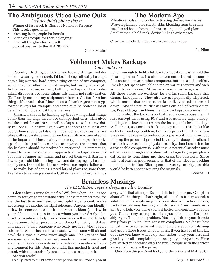### **The Ambiguous Video Game Quiz**

*I totally didn't phone this in* Winner of last week is Glorious Nation of Paraguay.

- This week's questions:
- Stealing from people for benefit
- Attacking people for their belongings
- Take all the glory for yourself Submit answers to the BLACK BOX.

### **The Modern Ape**

Vibrations pulse into coclea, activating the neuron chains Weaved plantae fibers sheath skin, blocking from the rains Fused sand bends beams to lens, resting in alloyed place Smaller than a held rock, device links to cyberspace

Crawl, walk, climb, ride, we are the modern apes

Ice Nine

### **Voldemort Makes Backups**

Quick Master

*You should too*

 Recently I had a good look at my backup strategy and decided it wasn't good enough. I'd been doing full daily backups onto a big external hard drive sitting on top of my computer, which may be better than most people, but isn't good enough. In the case of a fire, or theft, both my backups and computer might disappear. For some things this might not really matter, (Do I really need all my assignments from 1A?), but for other things, it's crucial that I have access. I can't regenerate cryptographic keys for example, and some of mine protect a lot of data that would be lost if I lose the keys.

 Clearly, I should be backing up the few important things better than the large amount of unimportant ones. This gives me the need for an extra, small backups, as well as my daily full ones. To ensure I've always got access to at least one copy, There should be lots of redundant ones, and ones that are physically separate as well. Given the sensitive nature of some of the important things, mainly the encryption keys, the backups shouldn't just be accessible to anyone. That means that the backups should themselves be encrypted. To summarize, I need to take the Voldemort approach to backups; make lots of copies of important things, and protect them well. Barring a few 17-year-old kids hunting down and destroying my backups one by one, I should be able to survive catastrophic failures.

 To make lots of copies, I need lots of places to store them. I've taken to carrying around a USB drive on my keychain. It's not big enough to hold a full backup, but it can easily hold the most important files. It's also convenient if I need to transfer files around between other computers, but that's a side effect. I've also got space available to me on various servers and web accounts, such as my CSC server space, or my Google account. All these places are excellent for storing small backups that change infrequently. They also are geographically dispersed, which means that one disaster is unlikely to take them all down. (And if a natural disaster takes out half of North America, I've got bigger problems than my backups going missing.)

 To protect the backups so that people can't abuse them, I first encrypt them using PGP and a reasonably large encryption key. But how can I restore the backups if I lose that key? Well, I can't, so I need to back that key up too. This looks like a chicken and egg problem, but I can protect that key with a password. It's easier to brute-force a password than a key, but if I keep the password-protected key only in storage locations I trust to have reasonable physical security, then I deem it to be a reasonable compromise. With this, a potential attacker must either break through encryption with a large key, or get physical access to something and then crack the password. Since this is at least as good security as that of the files I'm backing up, it should be fine. Effort spent increasing security past this would be better spent securing the originals.

ConcealED

#### **Brainless Musings**

#### *The BESMASter regrets sleeping with a Zombie*

 I don't always write for *math*NEWS, but when I do, it's too complex for you to understand why. Please remember now, for me, the last time you heard of necrophilia being cool. You're not wrong, it's another Twilight reference. Anyone can identify a flaw in someone else but it is hardest to identify a flaw in yourself and sometimes in those whom you love dearly. This article's agenda is to help you become more self-aware. To help you become a better person, to guard you from silly mistakes, and maybe to help someone who really needs it. Most people soldier on when they make a mistake while some will sit and bawl their eyes out over every single one. The key is to find someone who either cares very much or doesn't care at all about you. Sometimes a diner or a pub can provide a suitable environment for this. Don't be afraid, this method is tried and tested, with thousands of years of evidence to support it.

Are you ready?

I really tried to build some anticipation there. Probably went

awry with that attempt. Do not talk to this person. Complain about all the things! That's right, skeptical as it may sound, a solid hour of complaining has been shown to relieve stress, backaches, itching, burning, and dry scalp. Your friends usually try to help you, make you feel better, and generally support you. Unless they attempt to ditch you often, then I'm probably right. This is the problem. You might deter your friends away from you with your incessant complaints. Maybe it's best to just… bribe someone with food to ignore your complaining and get all those issues off your chest. If you have read this far, odds are you know what's up. Remember to try your best and give it your all, complaining doesn't get you anywhere. Have you started yet because only the first 2 people with the correct answer will recieve the prize.

One more thing – Good luck, and the prize is at MathSOC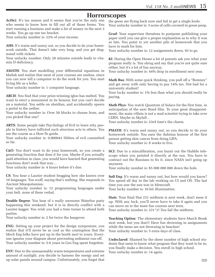#### **Horrorscopes**

**ActSci**: It's tax season and it seems that you're the only one who seems to know how to fill out all of those forms. You start running a business and make a lot of money in the next 3 weeks. You go up one tax bracket.

Your unlucky number is: 22% of your income.

**AHS**: It's warm and sunny out, so you decide to do your homework outside. That doesn't take very long, and you get diagnosed with rickets.

Your unlucky number: Only 20 minutes outside leads to vitamin D deficiency.

**AMATH**: You start modelling your differential equations in Matlab and realize that most of your courses are useless, since you can now tell a computer to do the work for you. You start living life as a hobo.

Your unlucky number is: 1 computer language.

**ARCH**: You find that your prize-winning igloo has melted. You want to erect a monument in its honour, but you can't decide on a material. You settle on obsidian, and accidentally spawn a portal to the nether.

Your unlucky number is: Over 50 blocks to choose from, and you picked that one?

**ARTS**: Some people take Psychology of Evil to learn why people in history have inflicted such atrocious acts to others. You see the course as a How-To guide.

Your unlucky number is: 0.000043 Hitlers of evil committed so far.

**C&O**: You don't want to do your homework, so you create a generating function that does it for you. Maybe if you actually paid attention in class, you would have learned that generating functions don't work that way…

Your unlucky number is: 4 hours before it's due.

**CS**: You hear a Laurier student bragging how she knows over 10 languages. You scoff, saying that's nothing. She responds in Ancient Mesopotamian.

Your unlucky number is: 12 programming languages under your belt, none of them verbal.

**Double Degree**: You hear of a really awesome Waterloo party happening this weekend, but it is in directly conflict with a Laurier kegger. You wish you had a time turner to attend both parties.

Your unlucky number is: 2 for twice the hangover.

**ENG**: Setting up your project for the design symposium, you realize that it'll never be as cool as the contraption that the Mech Eng folks have put up in the booth next to yours. Everyone ignores your diagram about preventing sediment run-off. Your unlucky number is: 5-6 years in Geo Eng spent forgotten.

**ENV**: Due to the unseasonably warm temperatures and extreme amount of sunlight, you decide to harness the energy and set up solar panels around campus. Unfortunately, you forget that the geese are flying back now and fail to get a single Joule. Your unlucky number is: 3 acres of cells covered in goose poop.

**Grad**: Your supervisor threatens to postpone publishing your paper until you can give a proper explanation as to why it was so late. You point to yet another pile of homework that you have to mark for him.

Your unlucky number is: 12 assignments down, 93 to go.

**KI**: During the Open House a lot of parents ask you what your program really is. You shrug and say that you're not quite sure either, but it's a lot of fun anyway.

Your unlucky number is:  $44\%$  drop in enrollment next year.

**Math Bus**: With some quick thinking, you pull off a "Romney" and get away with only having to pay 14% tax. Not bad for a university student!

Your lucky number is: 1% less than what you should really be paying.

**Math Phys**: You watch Quantum of Solace for the first time, in anticipation of the next Bond film. To your great disappointment, the main villain is not a mad scientist trying to take over CERN. Maybe in Skyfall…

Your unlucky number is: 23rd time's the charm.

**PMATH:** It's warm and sunny out, so you decide to do your homework outside. You earn the dubious honour of the first person getting skin cancer from doing LIFA. Your unlucky number is: 8 weeks to live.

**SCI**: Due to a miscalibration, you burnt out the Hubble telescope when you pointed it directly at the sun. You have to contract out the Russians to fix it, since NASA isn't going up anymore.

Your unlucky number is: \$5 000 000 000 down the hole.

**Soft Eng**: It's warm and sunny out, but how would you know? You spend all day in the lab working on UI and OS. The last time you saw the sun was in Minecraft. Your lucky number is: 16-bit illumination.

**Stats**: Your final Stat 231 midterm is next week, don't mess it up. With any luck, you'll never have to take it again and you can move on to the more fun courses next term. Your unlucky number is: 231\*2! You fail the midterm.

**Teaching Option**: The elementary students have March Break next week, but you don't! Have fun drowning in assignments while the teens are not drowning in beaches! Your unlucky number is: 5 extra days of class.

**Undeclared**: Shamed by the sheer number of high school students that seem to know what program that they want to be in, you finally make a decision. You enroll in high school. Your unlucky number is: 14 again.